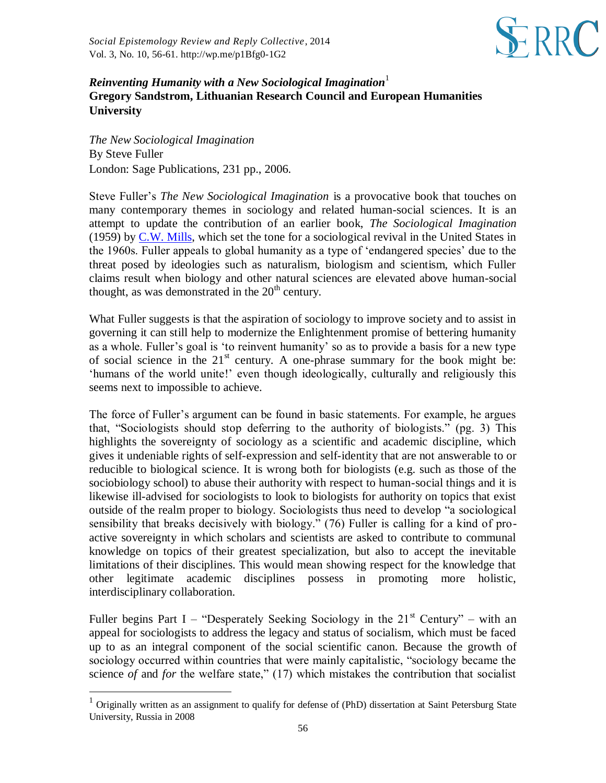

## *Reinventing Humanity with a New Sociological Imagination*<sup>1</sup> **Gregory Sandstrom, Lithuanian Research Council and European Humanities University**

*The New Sociological Imagination*  By Steve Fuller London: Sage Publications, 231 pp., 2006.

l

Steve Fuller's *The New Sociological Imagination* is a provocative book that touches on many contemporary themes in sociology and related human-social sciences. It is an attempt to update the contribution of an earlier book, *The Sociological Imagination*  (1959) by [C.W. Mills,](http://en.wikipedia.org/wiki/C._Wright_Mills) which set the tone for a sociological revival in the United States in the 1960s. Fuller appeals to global humanity as a type of 'endangered species' due to the threat posed by ideologies such as naturalism, biologism and scientism, which Fuller claims result when biology and other natural sciences are elevated above human-social thought, as was demonstrated in the  $20<sup>th</sup>$  century.

What Fuller suggests is that the aspiration of sociology to improve society and to assist in governing it can still help to modernize the Enlightenment promise of bettering humanity as a whole. Fuller's goal is 'to reinvent humanity' so as to provide a basis for a new type of social science in the  $21<sup>st</sup>$  century. A one-phrase summary for the book might be: 'humans of the world unite!' even though ideologically, culturally and religiously this seems next to impossible to achieve.

The force of Fuller's argument can be found in basic statements. For example, he argues that, "Sociologists should stop deferring to the authority of biologists." (pg. 3) This highlights the sovereignty of sociology as a scientific and academic discipline, which gives it undeniable rights of self-expression and self-identity that are not answerable to or reducible to biological science. It is wrong both for biologists (e.g. such as those of the sociobiology school) to abuse their authority with respect to human-social things and it is likewise ill-advised for sociologists to look to biologists for authority on topics that exist outside of the realm proper to biology. Sociologists thus need to develop "a sociological sensibility that breaks decisively with biology." (76) Fuller is calling for a kind of proactive sovereignty in which scholars and scientists are asked to contribute to communal knowledge on topics of their greatest specialization, but also to accept the inevitable limitations of their disciplines. This would mean showing respect for the knowledge that other legitimate academic disciplines possess in promoting more holistic, interdisciplinary collaboration.

Fuller begins Part I – "Desperately Seeking Sociology in the  $21<sup>st</sup>$  Century" – with an appeal for sociologists to address the legacy and status of socialism, which must be faced up to as an integral component of the social scientific canon. Because the growth of sociology occurred within countries that were mainly capitalistic, "sociology became the science *of* and *for* the welfare state," (17) which mistakes the contribution that socialist

<sup>&</sup>lt;sup>1</sup> Originally written as an assignment to qualify for defense of (PhD) dissertation at Saint Petersburg State University, Russia in 2008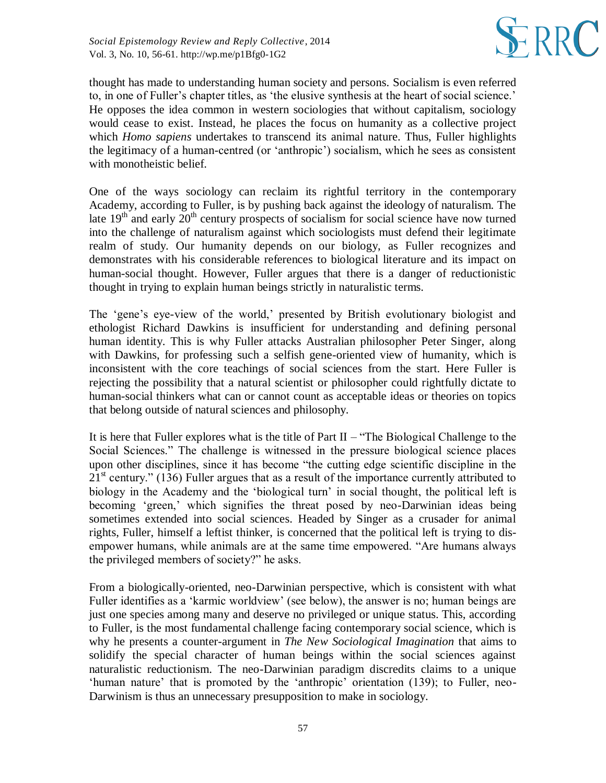

thought has made to understanding human society and persons. Socialism is even referred to, in one of Fuller's chapter titles, as 'the elusive synthesis at the heart of social science.' He opposes the idea common in western sociologies that without capitalism, sociology would cease to exist. Instead, he places the focus on humanity as a collective project which *Homo sapiens* undertakes to transcend its animal nature. Thus, Fuller highlights the legitimacy of a human-centred (or 'anthropic') socialism, which he sees as consistent with monotheistic belief.

One of the ways sociology can reclaim its rightful territory in the contemporary Academy, according to Fuller, is by pushing back against the ideology of naturalism. The late  $19<sup>th</sup>$  and early  $20<sup>th</sup>$  century prospects of socialism for social science have now turned into the challenge of naturalism against which sociologists must defend their legitimate realm of study. Our humanity depends on our biology, as Fuller recognizes and demonstrates with his considerable references to biological literature and its impact on human-social thought. However, Fuller argues that there is a danger of reductionistic thought in trying to explain human beings strictly in naturalistic terms.

The 'gene's eye-view of the world,' presented by British evolutionary biologist and ethologist Richard Dawkins is insufficient for understanding and defining personal human identity. This is why Fuller attacks Australian philosopher Peter Singer, along with Dawkins, for professing such a selfish gene-oriented view of humanity, which is inconsistent with the core teachings of social sciences from the start. Here Fuller is rejecting the possibility that a natural scientist or philosopher could rightfully dictate to human-social thinkers what can or cannot count as acceptable ideas or theories on topics that belong outside of natural sciences and philosophy.

It is here that Fuller explores what is the title of Part  $II$  – "The Biological Challenge to the Social Sciences." The challenge is witnessed in the pressure biological science places upon other disciplines, since it has become "the cutting edge scientific discipline in the  $21<sup>st</sup>$  century." (136) Fuller argues that as a result of the importance currently attributed to biology in the Academy and the 'biological turn' in social thought, the political left is becoming 'green,' which signifies the threat posed by neo-Darwinian ideas being sometimes extended into social sciences. Headed by Singer as a crusader for animal rights, Fuller, himself a leftist thinker, is concerned that the political left is trying to disempower humans, while animals are at the same time empowered. "Are humans always the privileged members of society?" he asks.

From a biologically-oriented, neo-Darwinian perspective, which is consistent with what Fuller identifies as a 'karmic worldview' (see below), the answer is no; human beings are just one species among many and deserve no privileged or unique status. This, according to Fuller, is the most fundamental challenge facing contemporary social science, which is why he presents a counter-argument in *The New Sociological Imagination* that aims to solidify the special character of human beings within the social sciences against naturalistic reductionism. The neo-Darwinian paradigm discredits claims to a unique 'human nature' that is promoted by the 'anthropic' orientation (139); to Fuller, neo-Darwinism is thus an unnecessary presupposition to make in sociology.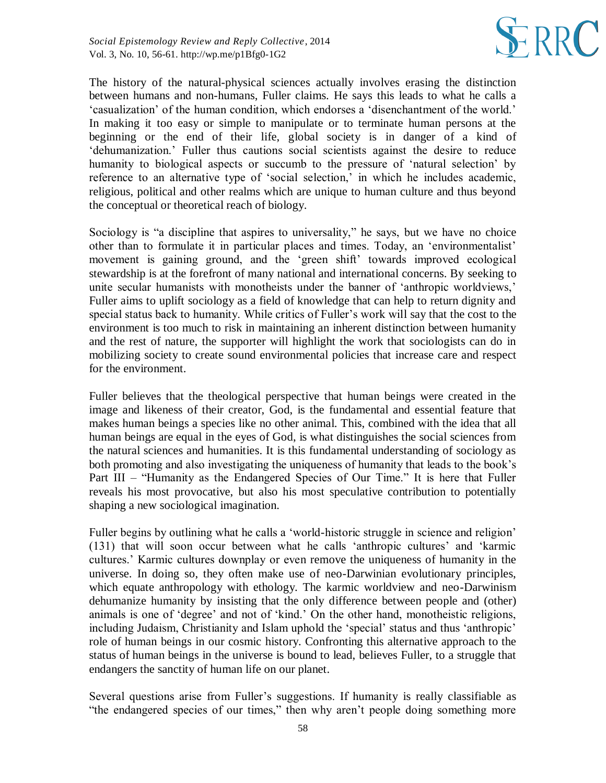

The history of the natural-physical sciences actually involves erasing the distinction between humans and non-humans, Fuller claims. He says this leads to what he calls a 'casualization' of the human condition, which endorses a 'disenchantment of the world.' In making it too easy or simple to manipulate or to terminate human persons at the beginning or the end of their life, global society is in danger of a kind of 'dehumanization.' Fuller thus cautions social scientists against the desire to reduce humanity to biological aspects or succumb to the pressure of 'natural selection' by reference to an alternative type of 'social selection,' in which he includes academic, religious, political and other realms which are unique to human culture and thus beyond the conceptual or theoretical reach of biology.

Sociology is "a discipline that aspires to universality," he says, but we have no choice other than to formulate it in particular places and times. Today, an 'environmentalist' movement is gaining ground, and the 'green shift' towards improved ecological stewardship is at the forefront of many national and international concerns. By seeking to unite secular humanists with monotheists under the banner of 'anthropic worldviews,' Fuller aims to uplift sociology as a field of knowledge that can help to return dignity and special status back to humanity. While critics of Fuller's work will say that the cost to the environment is too much to risk in maintaining an inherent distinction between humanity and the rest of nature, the supporter will highlight the work that sociologists can do in mobilizing society to create sound environmental policies that increase care and respect for the environment.

Fuller believes that the theological perspective that human beings were created in the image and likeness of their creator, God, is the fundamental and essential feature that makes human beings a species like no other animal. This, combined with the idea that all human beings are equal in the eyes of God, is what distinguishes the social sciences from the natural sciences and humanities. It is this fundamental understanding of sociology as both promoting and also investigating the uniqueness of humanity that leads to the book's Part III – "Humanity as the Endangered Species of Our Time." It is here that Fuller reveals his most provocative, but also his most speculative contribution to potentially shaping a new sociological imagination.

Fuller begins by outlining what he calls a 'world-historic struggle in science and religion' (131) that will soon occur between what he calls 'anthropic cultures' and 'karmic cultures.' Karmic cultures downplay or even remove the uniqueness of humanity in the universe. In doing so, they often make use of neo-Darwinian evolutionary principles, which equate anthropology with ethology. The karmic worldview and neo-Darwinism dehumanize humanity by insisting that the only difference between people and (other) animals is one of 'degree' and not of 'kind.' On the other hand, monotheistic religions, including Judaism, Christianity and Islam uphold the 'special' status and thus 'anthropic' role of human beings in our cosmic history. Confronting this alternative approach to the status of human beings in the universe is bound to lead, believes Fuller, to a struggle that endangers the sanctity of human life on our planet.

Several questions arise from Fuller's suggestions. If humanity is really classifiable as "the endangered species of our times," then why aren't people doing something more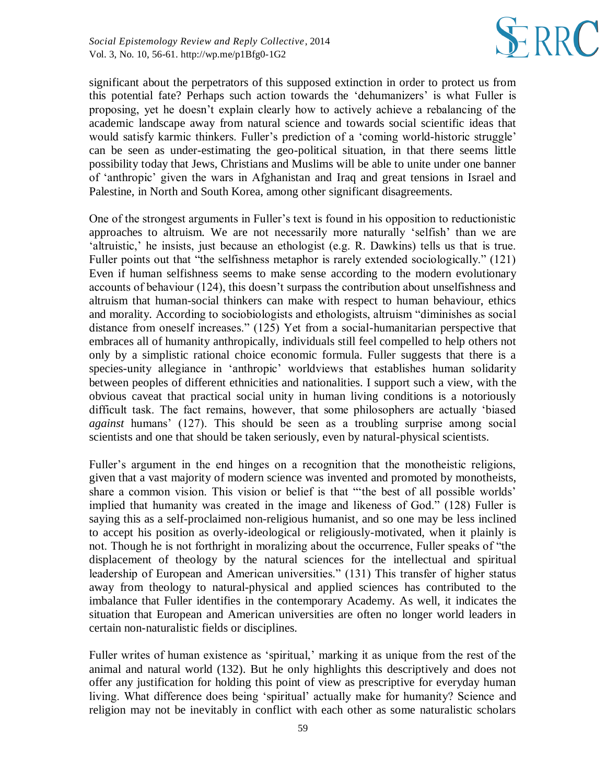

significant about the perpetrators of this supposed extinction in order to protect us from this potential fate? Perhaps such action towards the 'dehumanizers' is what Fuller is proposing, yet he doesn't explain clearly how to actively achieve a rebalancing of the academic landscape away from natural science and towards social scientific ideas that would satisfy karmic thinkers. Fuller's prediction of a 'coming world-historic struggle' can be seen as under-estimating the geo-political situation, in that there seems little possibility today that Jews, Christians and Muslims will be able to unite under one banner of 'anthropic' given the wars in Afghanistan and Iraq and great tensions in Israel and Palestine, in North and South Korea, among other significant disagreements.

One of the strongest arguments in Fuller's text is found in his opposition to reductionistic approaches to altruism. We are not necessarily more naturally 'selfish' than we are 'altruistic,' he insists, just because an ethologist (e.g. R. Dawkins) tells us that is true. Fuller points out that "the selfishness metaphor is rarely extended sociologically." (121) Even if human selfishness seems to make sense according to the modern evolutionary accounts of behaviour (124), this doesn't surpass the contribution about unselfishness and altruism that human-social thinkers can make with respect to human behaviour, ethics and morality. According to sociobiologists and ethologists, altruism "diminishes as social distance from oneself increases." (125) Yet from a social-humanitarian perspective that embraces all of humanity anthropically, individuals still feel compelled to help others not only by a simplistic rational choice economic formula. Fuller suggests that there is a species-unity allegiance in 'anthropic' worldviews that establishes human solidarity between peoples of different ethnicities and nationalities. I support such a view, with the obvious caveat that practical social unity in human living conditions is a notoriously difficult task. The fact remains, however, that some philosophers are actually 'biased *against* humans' (127). This should be seen as a troubling surprise among social scientists and one that should be taken seriously, even by natural-physical scientists.

Fuller's argument in the end hinges on a recognition that the monotheistic religions, given that a vast majority of modern science was invented and promoted by monotheists, share a common vision. This vision or belief is that "'the best of all possible worlds' implied that humanity was created in the image and likeness of God." (128) Fuller is saying this as a self-proclaimed non-religious humanist, and so one may be less inclined to accept his position as overly-ideological or religiously-motivated, when it plainly is not. Though he is not forthright in moralizing about the occurrence, Fuller speaks of "the displacement of theology by the natural sciences for the intellectual and spiritual leadership of European and American universities." (131) This transfer of higher status away from theology to natural-physical and applied sciences has contributed to the imbalance that Fuller identifies in the contemporary Academy. As well, it indicates the situation that European and American universities are often no longer world leaders in certain non-naturalistic fields or disciplines.

Fuller writes of human existence as 'spiritual,' marking it as unique from the rest of the animal and natural world (132). But he only highlights this descriptively and does not offer any justification for holding this point of view as prescriptive for everyday human living. What difference does being 'spiritual' actually make for humanity? Science and religion may not be inevitably in conflict with each other as some naturalistic scholars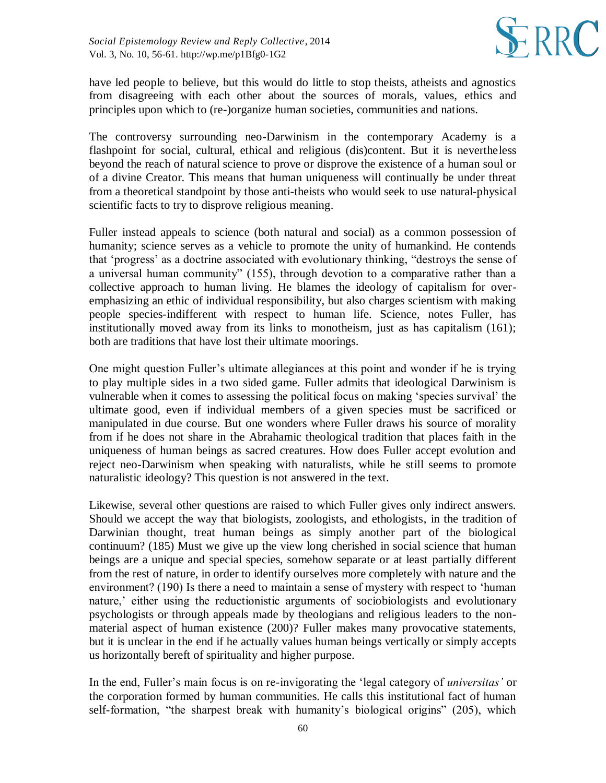

have led people to believe, but this would do little to stop theists, atheists and agnostics from disagreeing with each other about the sources of morals, values, ethics and principles upon which to (re-)organize human societies, communities and nations.

The controversy surrounding neo-Darwinism in the contemporary Academy is a flashpoint for social, cultural, ethical and religious (dis)content. But it is nevertheless beyond the reach of natural science to prove or disprove the existence of a human soul or of a divine Creator. This means that human uniqueness will continually be under threat from a theoretical standpoint by those anti-theists who would seek to use natural-physical scientific facts to try to disprove religious meaning.

Fuller instead appeals to science (both natural and social) as a common possession of humanity; science serves as a vehicle to promote the unity of humankind. He contends that 'progress' as a doctrine associated with evolutionary thinking, "destroys the sense of a universal human community" (155), through devotion to a comparative rather than a collective approach to human living. He blames the ideology of capitalism for overemphasizing an ethic of individual responsibility, but also charges scientism with making people species-indifferent with respect to human life. Science, notes Fuller, has institutionally moved away from its links to monotheism, just as has capitalism (161); both are traditions that have lost their ultimate moorings.

One might question Fuller's ultimate allegiances at this point and wonder if he is trying to play multiple sides in a two sided game. Fuller admits that ideological Darwinism is vulnerable when it comes to assessing the political focus on making 'species survival' the ultimate good, even if individual members of a given species must be sacrificed or manipulated in due course. But one wonders where Fuller draws his source of morality from if he does not share in the Abrahamic theological tradition that places faith in the uniqueness of human beings as sacred creatures. How does Fuller accept evolution and reject neo-Darwinism when speaking with naturalists, while he still seems to promote naturalistic ideology? This question is not answered in the text.

Likewise, several other questions are raised to which Fuller gives only indirect answers. Should we accept the way that biologists, zoologists, and ethologists, in the tradition of Darwinian thought, treat human beings as simply another part of the biological continuum? (185) Must we give up the view long cherished in social science that human beings are a unique and special species, somehow separate or at least partially different from the rest of nature, in order to identify ourselves more completely with nature and the environment? (190) Is there a need to maintain a sense of mystery with respect to 'human nature,' either using the reductionistic arguments of sociobiologists and evolutionary psychologists or through appeals made by theologians and religious leaders to the nonmaterial aspect of human existence (200)? Fuller makes many provocative statements, but it is unclear in the end if he actually values human beings vertically or simply accepts us horizontally bereft of spirituality and higher purpose.

In the end, Fuller's main focus is on re-invigorating the 'legal category of *universitas'* or the corporation formed by human communities. He calls this institutional fact of human self-formation, "the sharpest break with humanity's biological origins" (205), which